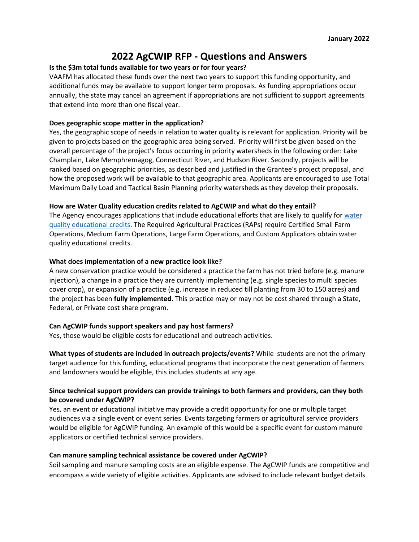# **2022 AgCWIP RFP - Questions and Answers**

## **Is the \$3m total funds available for two years or for four years?**

VAAFM has allocated these funds over the next two years to support this funding opportunity, and additional funds may be available to support longer term proposals. As funding appropriations occur annually, the state may cancel an agreement if appropriations are not sufficient to support agreements that extend into more than one fiscal year.

#### **Does geographic scope matter in the application?**

Yes, the geographic scope of needs in relation to water quality is relevant for application. Priority will be given to projects based on the geographic area being served. Priority will first be given based on the overall percentage of the project's focus occurring in priority watersheds in the following order: Lake Champlain, Lake Memphremagog, Connecticut River, and Hudson River. Secondly, projects will be ranked based on geographic priorities, as described and justified in the Grantee's project proposal, and how the proposed work will be available to that geographic area. Applicants are encouraged to use Total Maximum Daily Load and Tactical Basin Planning priority watersheds as they develop their proposals.

#### **How are Water Quality education credits related to AgCWIP and what do they entail?**

The Agency encourages applications that include educational efforts that are likely to qualify for [water](https://agriculture.vermont.gov/water-quality-educational-credits)  [quality educational credits.](https://agriculture.vermont.gov/water-quality-educational-credits) The Required Agricultural Practices (RAPs) require Certified Small Farm Operations, Medium Farm Operations, Large Farm Operations, and Custom Applicators obtain water quality educational credits.

#### **What does implementation of a new practice look like?**

A new conservation practice would be considered a practice the farm has not tried before (e.g. manure injection), a change in a practice they are currently implementing (e.g. single species to multi species cover crop), or expansion of a practice (e.g. increase in reduced till planting from 30 to 150 acres) and the project has been **fully implemented.** This practice may or may not be cost shared through a State, Federal, or Private cost share program.

## **Can AgCWIP funds support speakers and pay host farmers?**

Yes, those would be eligible costs for educational and outreach activities.

**What types of students are included in outreach projects/events?** While students are not the primary target audience for this funding, educational programs that incorporate the next generation of farmers and landowners would be eligible, this includes students at any age.

# **Since technical support providers can provide trainings to both farmers and providers, can they both be covered under AgCWIP?**

Yes, an event or educational initiative may provide a credit opportunity for one or multiple target audiences via a single event or event series. Events targeting farmers or agricultural service providers would be eligible for AgCWIP funding. An example of this would be a specific event for custom manure applicators or certified technical service providers.

#### **Can manure sampling technical assistance be covered under AgCWIP?**

Soil sampling and manure sampling costs are an eligible expense. The AgCWIP funds are competitive and encompass a wide variety of eligible activities. Applicants are advised to include relevant budget details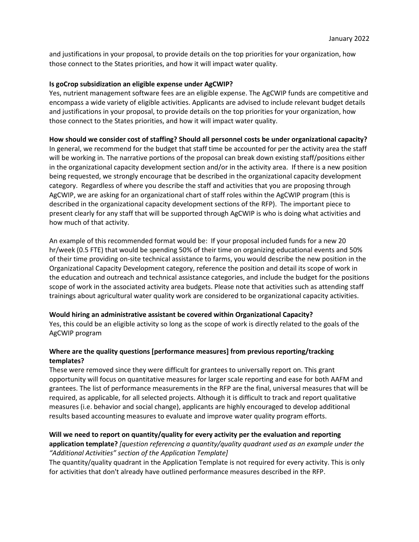and justifications in your proposal, to provide details on the top priorities for your organization, how those connect to the States priorities, and how it will impact water quality.

# **Is goCrop subsidization an eligible expense under AgCWIP?**

Yes, nutrient management software fees are an eligible expense. The AgCWIP funds are competitive and encompass a wide variety of eligible activities. Applicants are advised to include relevant budget details and justifications in your proposal, to provide details on the top priorities for your organization, how those connect to the States priorities, and how it will impact water quality.

# **How should we consider cost of staffing? Should all personnel costs be under organizational capacity?**

In general, we recommend for the budget that staff time be accounted for per the activity area the staff will be working in. The narrative portions of the proposal can break down existing staff/positions either in the organizational capacity development section and/or in the activity area. If there is a new position being requested, we strongly encourage that be described in the organizational capacity development category. Regardless of where you describe the staff and activities that you are proposing through AgCWIP, we are asking for an organizational chart of staff roles within the AgCWIP program (this is described in the organizational capacity development sections of the RFP). The important piece to present clearly for any staff that will be supported through AgCWIP is who is doing what activities and how much of that activity.

An example of this recommended format would be: If your proposal included funds for a new 20 hr/week (0.5 FTE) that would be spending 50% of their time on organizing educational events and 50% of their time providing on-site technical assistance to farms, you would describe the new position in the Organizational Capacity Development category, reference the position and detail its scope of work in the education and outreach and technical assistance categories, and include the budget for the positions scope of work in the associated activity area budgets. Please note that activities such as attending staff trainings about agricultural water quality work are considered to be organizational capacity activities.

## **Would hiring an administrative assistant be covered within Organizational Capacity?**

Yes, this could be an eligible activity so long as the scope of work is directly related to the goals of the AgCWIP program

# **Where are the quality questions [performance measures] from previous reporting/tracking templates?**

These were removed since they were difficult for grantees to universally report on. This grant opportunity will focus on quantitative measures for larger scale reporting and ease for both AAFM and grantees. The list of performance measurements in the RFP are the final, universal measures that will be required, as applicable, for all selected projects. Although it is difficult to track and report qualitative measures (i.e. behavior and social change), applicants are highly encouraged to develop additional results based accounting measures to evaluate and improve water quality program efforts.

## **Will we need to report on quantity/quality for every activity per the evaluation and reporting**

# **application template?** *[question referencing a quantity/quality quadrant used as an example under the "Additional Activities" section of the Application Template]*

The quantity/quality quadrant in the Application Template is not required for every activity. This is only for activities that don't already have outlined performance measures described in the RFP.